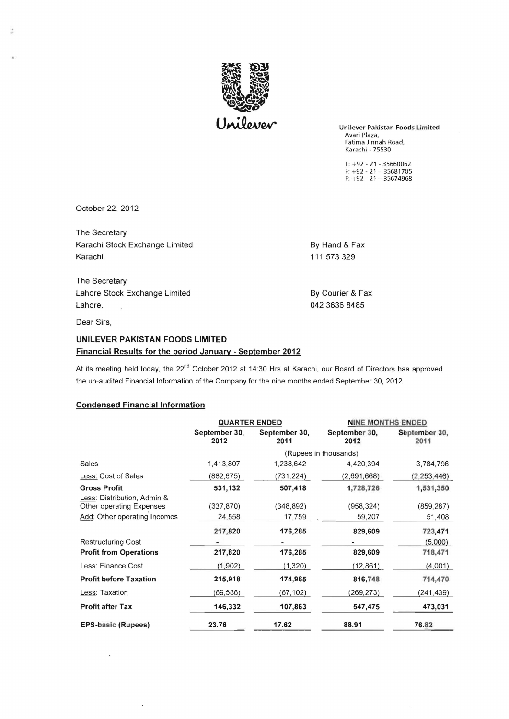

Unilever Pakistan Foods Limited Avari Plaza, Fatima Jinnah Road, Karachi - 75530

T: +92 - 21 - 35660062 F: +92 - 21 - 35681705 F: +92 - 21 - 35674968

October 22,2012

;

The Secretary Karachi Stock Exchange Limited By Hand & Fax Karachi. 111 573 329

The Secretary Lahore Stock Exchange Limited By Courier & Fax Lahore. 20042 3636 8485

Dear Sirs,

## UNILEVER PAKISTAN FOODS LIMITED Financial Results for the period January - September 2012

At its meeting held today, the 22<sup>nd</sup> October 2012 at 14:30 Hrs at Karachi, our Board of Directors has approved the un-audited Financial Information of the Company for the nine months ended September 30, 2012.

## Condensed Financial Information

|                                                         | <b>QUARTER ENDED</b>  |                       | <b>NINE MONTHS ENDED</b> |                       |
|---------------------------------------------------------|-----------------------|-----------------------|--------------------------|-----------------------|
|                                                         | September 30,<br>2012 | September 30,<br>2011 | September 30,<br>2012    | September 30,<br>2011 |
|                                                         | (Rupees in thousands) |                       |                          |                       |
| Sales                                                   | 1,413,807             | 1,238,642             | 4,420,394                | 3,784,796             |
| Less: Cost of Sales                                     | (882,675)             | (731,224)             | (2,691,668)              | (2, 253, 446)         |
| <b>Gross Profit</b>                                     | 531,132               | 507,418               | 1,728,726                | 1,531,350             |
| Less: Distribution, Admin &<br>Other operating Expenses | (337, 870)            | (348, 892)            | (958, 324)               | (859, 287)            |
| Add: Other operating Incomes                            | 24,558                | 17,759                | 59,207                   | 51,408                |
|                                                         | 217,820               | 176,285               | 829,609                  | 723,471               |
| <b>Restructuring Cost</b>                               |                       |                       |                          | (5,000)               |
| <b>Profit from Operations</b>                           | 217,820               | 176,285               | 829,609                  | 718,471               |
| Less: Finance Cost                                      | (1, 902)              | (1, 320)              | (12, 861)                | (4,001)               |
| <b>Profit before Taxation</b>                           | 215,918               | 174,965               | 816,748                  | 714,470               |
| Less: Taxation                                          | (69,586)              | (67,102)              | (269,273)                | (241,439)             |
| <b>Profit after Tax</b>                                 | 146,332               | 107,863               | 547,475                  | 473,031               |
| <b>EPS-basic (Rupees)</b>                               | 23.76                 | 17.62                 | 88.91                    | 76.82                 |